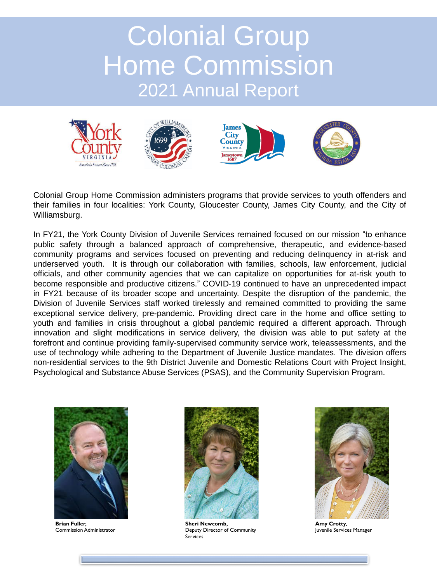# Colonial Group Home Commission 2021 Annual Report



Colonial Group Home Commission administers programs that provide services to youth offenders and their families in four localities: York County, Gloucester County, James City County, and the City of Williamsburg.

In FY21, the York County Division of Juvenile Services remained focused on our mission "to enhance public safety through a balanced approach of comprehensive, therapeutic, and evidence-based community programs and services focused on preventing and reducing delinquency in at-risk and underserved youth. It is through our collaboration with families, schools, law enforcement, judicial officials, and other community agencies that we can capitalize on opportunities for at-risk youth to become responsible and productive citizens." COVID-19 continued to have an unprecedented impact in FY21 because of its broader scope and uncertainty. Despite the disruption of the pandemic, the Division of Juvenile Services staff worked tirelessly and remained committed to providing the same exceptional service delivery, pre-pandemic. Providing direct care in the home and office setting to youth and families in crisis throughout a global pandemic required a different approach. Through innovation and slight modifications in service delivery, the division was able to put safety at the forefront and continue providing family-supervised community service work, teleassessments, and the use of technology while adhering to the Department of Juvenile Justice mandates. The division offers non-residential services to the 9th District Juvenile and Domestic Relations Court with Project Insight, Psychological and Substance Abuse Services (PSAS), and the Community Supervision Program.



**Brian Fuller,** Commission Administrator



**Amy Crotty,** Juvenile Services Manager



**Sheri Newcomb,** Deputy Director of Community Services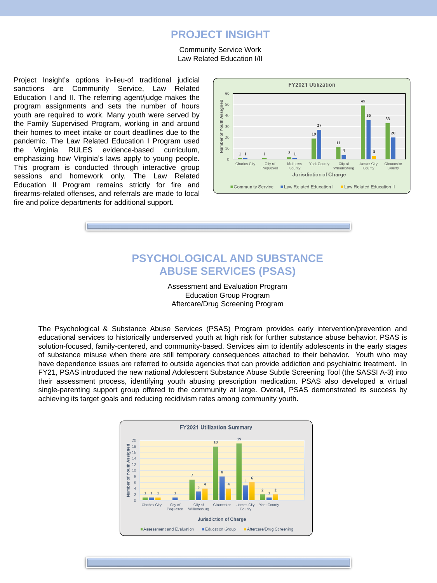Project Insight's options in-lieu-of traditional judicial sanctions are Community Service, Law Related Education I and II. The referring agent/judge makes the program assignments and sets the number of hours youth are required to work. Many youth were served by the Family Supervised Program, working in and around their homes to meet intake or court deadlines due to the pandemic. The Law Related Education I Program used the Virginia RULES evidence-based curriculum, emphasizing how Virginia's laws apply to young people. This program is conducted through interactive group sessions and homework only. The Law Related Education II Program remains strictly for fire and firearms-related offenses, and referrals are made to local fire and police departments for additional support.



## **PSYCHOLOGICAL AND SUBSTANCE ABUSE SERVICES (PSAS)**

Assessment and Evaluation Program Education Group Program Aftercare/Drug Screening Program

The Psychological & Substance Abuse Services (PSAS) Program provides early intervention/prevention and educational services to historically underserved youth at high risk for further substance abuse behavior. PSAS is solution-focused, family-centered, and community-based. Services aim to identify adolescents in the early stages of substance misuse when there are still temporary consequences attached to their behavior. Youth who may have dependence issues are referred to outside agencies that can provide addiction and psychiatric treatment. In FY21, PSAS introduced the new national Adolescent Substance Abuse Subtle Screening Tool (the SASSI A-3) into their assessment process, identifying youth abusing prescription medication. PSAS also developed a virtual single-parenting support group offered to the community at large. Overall, PSAS demonstrated its success by achieving its target goals and reducing recidivism rates among community youth.





#### **PROJECT INSIGHT**

#### Community Service Work Law Related Education I/II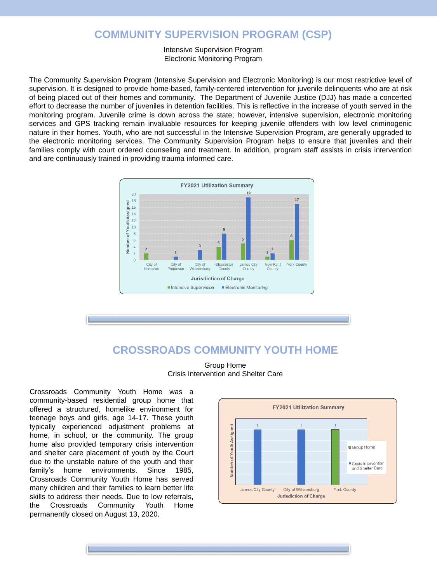The Community Supervision Program (Intensive Supervision and Electronic Monitoring) is our most restrictive level of supervision. It is designed to provide home-based, family-centered intervention for juvenile delinquents who are at risk of being placed out of their homes and community. The Department of Juvenile Justice (DJJ) has made a concerted effort to decrease the number of juveniles in detention facilities. This is reflective in the increase of youth served in the monitoring program. Juvenile crime is down across the state; however, intensive supervision, electronic monitoring services and GPS tracking remain invaluable resources for keeping juvenile offenders with low level criminogenic nature in their homes. Youth, who are not successful in the Intensive Supervision Program, are generally upgraded to the electronic monitoring services. The Community Supervision Program helps to ensure that juveniles and their families comply with court ordered counseling and treatment. In addition, program staff assists in crisis intervention and are continuously trained in providing trauma informed care.



#### **COMMUNITY SUPERVISION PROGRAM (CSP)**

Intensive Supervision Program Electronic Monitoring Program

#### **CROSSROADS COMMUNITY YOUTH HOME**

Group Home Crisis Intervention and Shelter Care

Crossroads Community Youth Home was a community-based residential group home that offered a structured, homelike environment for

**FY2021 Utilization Summary** 

teenage boys and girls, age 14-17. These youth typically experienced adjustment problems at home, in school, or the community. The group home also provided temporary crisis intervention and shelter care placement of youth by the Court due to the unstable nature of the youth and their family's home environments. Since 1985, Crossroads Community Youth Home has served many children and their families to learn better life skills to address their needs. Due to low referrals, the Crossroads Community Youth Home permanently closed on August 13, 2020.